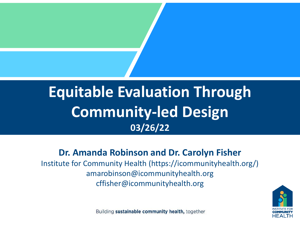#### **Equitable Evaluation Through Community-led Design 03/26/22**

#### **Dr. Amanda Robinson and Dr. Carolyn Fisher**

Institute for Community Health (https://icommunityhealth.org/) amarobinson@icommunityhealth.org cffisher@icommunityhealth.org



Building sustainable community health, together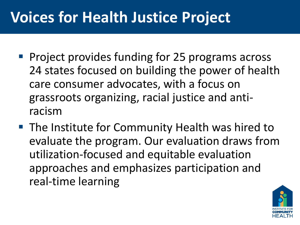## **Voices for Health Justice Project**

- Project provides funding for 25 programs across 24 states focused on building the power of health care consumer advocates, with a focus on grassroots organizing, racial justice and antiracism
- The Institute for Community Health was hired to evaluate the program. Our evaluation draws from utilization-focused and equitable evaluation approaches and emphasizes participation and real-time learning

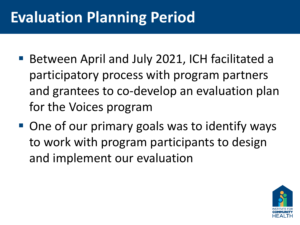## **Evaluation Planning Period**

- Between April and July 2021, ICH facilitated a participatory process with program partners and grantees to co-develop an evaluation plan for the Voices program
- One of our primary goals was to identify ways to work with program participants to design and implement our evaluation

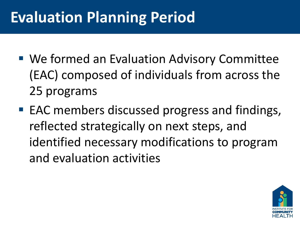## **Evaluation Planning Period**

- We formed an Evaluation Advisory Committee (EAC) composed of individuals from across the 25 programs
- EAC members discussed progress and findings, reflected strategically on next steps, and identified necessary modifications to program and evaluation activities

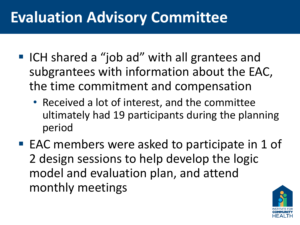## **Evaluation Advisory Committee**

- ICH shared a "job ad" with all grantees and subgrantees with information about the EAC, the time commitment and compensation
	- Received a lot of interest, and the committee ultimately had 19 participants during the planning period
- EAC members were asked to participate in 1 of 2 design sessions to help develop the logic model and evaluation plan, and attend monthly meetings

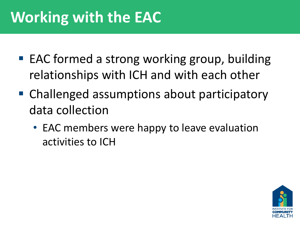# **Working with the EAC**

- EAC formed a strong working group, building relationships with ICH and with each other
- Challenged assumptions about participatory data collection
	- EAC members were happy to leave evaluation activities to ICH

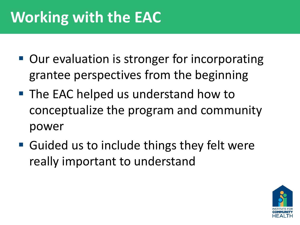# **Working with the EAC**

- Our evaluation is stronger for incorporating grantee perspectives from the beginning
- The EAC helped us understand how to conceptualize the program and community power
- Guided us to include things they felt were really important to understand

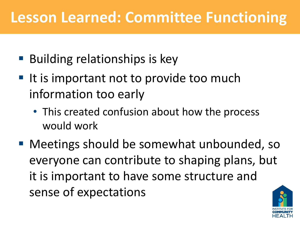#### **Lesson Learned: Committee Functioning**

- Building relationships is key
- It is important not to provide too much information too early
	- This created confusion about how the process would work
- Meetings should be somewhat unbounded, so everyone can contribute to shaping plans, but it is important to have some structure and sense of expectations